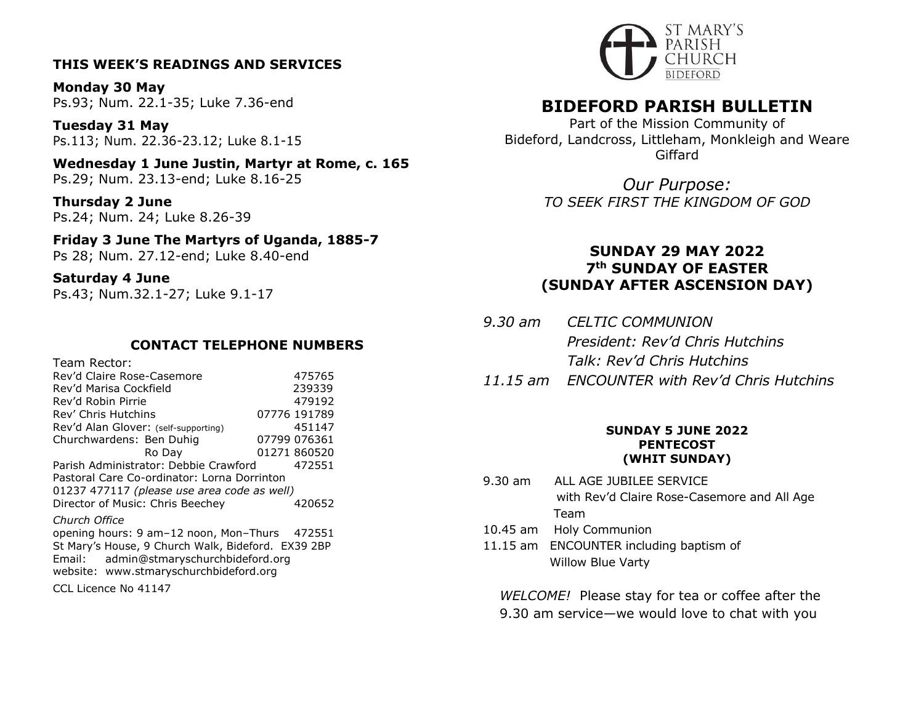## **THIS WEEK'S READINGS AND SERVICES**

**Monday 30 May** Ps.93; Num. 22.1-35; Luke 7.36-end

**Tuesday 31 May** Ps.113; Num. 22.36-23.12; Luke 8.1-15

**Wednesday 1 June Justin, Martyr at Rome, c. 165** Ps.29; Num. 23.13-end; Luke 8.16-25

**Thursday 2 June** Ps.24; Num. 24; Luke 8.26-39

**Friday 3 June The Martyrs of Uganda, 1885-7** Ps 28; Num. 27.12-end; Luke 8.40-end

**Saturday 4 June** Ps.43; Num.32.1-27; Luke 9.1-17

## **CONTACT TELEPHONE NUMBERS**

Team Rector: Rev'd Claire Rose-Casemore 475765 Rev'd Marisa Cockfield 239339 Rev'd Robin Pirrie 1992 1992 Rev' Chris Hutchins 07776 191789 Rev'd Alan Glover: (self-supporting) 451147 Churchwardens: Ben Duhig 07799 076361 Ro Day 01271 860520 Parish Administrator: Debbie Crawford 472551 Pastoral Care Co-ordinator: Lorna Dorrinton 01237 477117 *(please use area code as well)* Director of Music: Chris Beechey 420652 *Church Office*  opening hours: 9 am–12 noon, Mon–Thurs 472551 St Mary's House, 9 Church Walk, Bideford. EX39 2BP

Email: admin@stmaryschurchbideford.org website: www.stmaryschurchbideford.org

CCL Licence No 41147



# **BIDEFORD PARISH BULLETIN**

Part of the Mission Community of Bideford, Landcross, Littleham, Monkleigh and Weare Giffard

> *Our Purpose: TO SEEK FIRST THE KINGDOM OF GOD*

# **SUNDAY 29 MAY 2022 7th SUNDAY OF EASTER (SUNDAY AFTER ASCENSION DAY)**

- *9.30 am CELTIC COMMUNION President: Rev'd Chris Hutchins Talk: Rev'd Chris Hutchins*
- *11.15 am ENCOUNTER with Rev'd Chris Hutchins*

### **SUNDAY 5 JUNE 2022 PENTECOST (WHIT SUNDAY)**

- 9.30 am ALL AGE JUBILEE SERVICE with Rev'd Claire Rose-Casemore and All Age Team
- 10.45 am Holy Communion
- 11.15 am ENCOUNTER including baptism of Willow Blue Varty

*WELCOME!* Please stay for tea or coffee after the 9.30 am service—we would love to chat with you